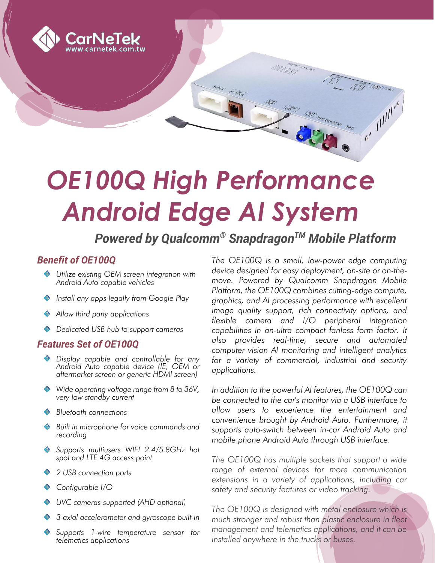

# *OE100Q High Performance Android Edge AI System*

## *Powered by Qualcomm® SnapdragonTM Mobile Platform*

#### *Benefit of OE100Q*

- *Utilize existing OEM screen integration with Android Auto capable vehicles*
- *Install any apps legally from Google Play*
- *Allow third party applications*
- *Dedicated USB hub to support cameras*

#### *Features Set of OE100Q*

- *Display capable and controllable for any Android Auto capable device (IE, OEM or aftermarket screen or generic HDMI screen)*
- *Wide operating voltage range from 8 to 36V, very low standby current*
- *Bluetooth connections*
- *Built in microphone for voice commands and recording*
- *Supports multiusers WIFI 2.4/5.8GHz hot spot and LTE 4G access point*
- *2 USB connection ports*
- *Configurable I/O*
- *UVC cameras supported (AHD optional)*
- *3-axial accelerometer and gyroscope built-in*
- *Supports 1-wire temperature sensor for telematics applications*

*The OE100Q is a small, low-power edge computing device designed for easy deployment, on-site or on-themove. Powered by Qualcomm Snapdragon Mobile Platform, the OE100Q combines cutting-edge compute, graphics, and AI processing performance with excellent image quality support, rich connectivity options, and flexible camera and I/O peripheral integration capabilities in an-ultra compact fanless form factor. It also provides real-time, secure and automated computer vision AI monitoring and intelligent analytics for a variety of commercial, industrial and security applications.*

*In addition to the powerful AI features, the OE100Q can be connected to the car's monitor via a USB interface to allow users to experience the entertainment and convenience brought by Android Auto. Furthermore, it supports auto-switch between in-car Android Auto and mobile phone Android Auto through USB interface.*

*The OE100Q has multiple sockets that support a wide range of external devices for more communication extensions in a variety of applications, including car safety and security features or video tracking.*

*The OE100Q is designed with metal enclosure which is much stronger and robust than plastic enclosure in fleet management and telematics applications, and it can be installed anywhere in the trucks or buses.*